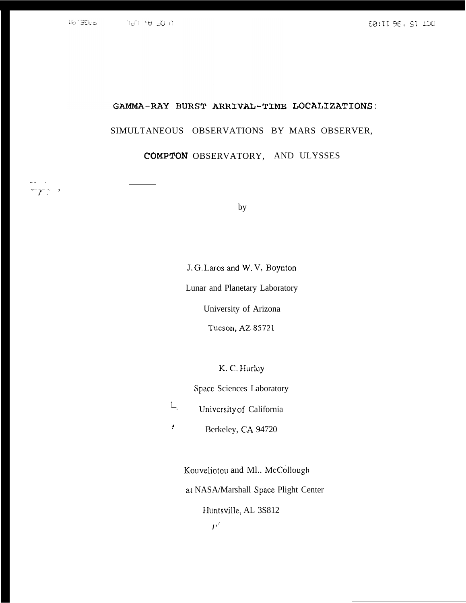$7^{-1}$ ,

# GAMMA-RAY BURST ARRIVAL-TIME LOCALIZATIONS: SIMULTANEOUS OBSERVATIONS BY MARS OBSERVER, COMPTON OBSERVATORY, AND ULYSSES

by

J.G. Laros and W.V, Boynton Lunar and Planetary Laboratory University of Arizona

Tucson, AZ 85721

K. C. Hurley

Space Sciences Laboratory

 $\underline{t}$ University of California

 $\bar{r}$ Berkeley, CA 94720

Kouveliotou and Ml.. McCollough

at NASA/Marshall Space Plight Center

Huntsville, AL 3S812

 $P^{2}$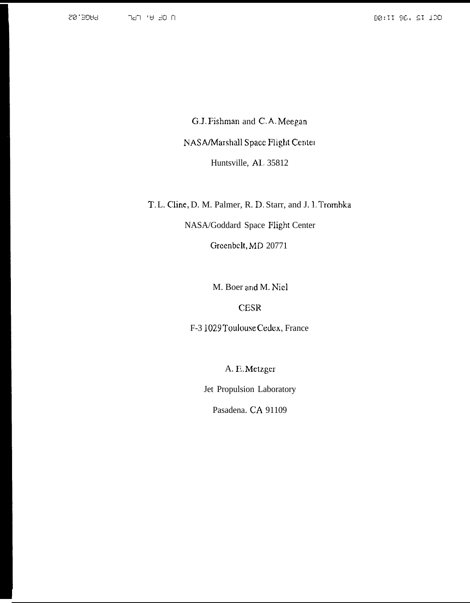G.J. Fishman and C.A. Meegan NASA/Marshall Space Flight Center Huntsville, AL 35812

T. L. Cline, D. M. Palmer, R. D. Starr, and J. 1. Trornhka

NASA/Goddard Space Flight Center

Greenbclt, MD 20771

M. Boer and M. Nicl

CESR

F-3 1029 Toulouse Cedex, France

A. E, Metzger

Jet Propulsion Laboratory

Pasadena. CA 91109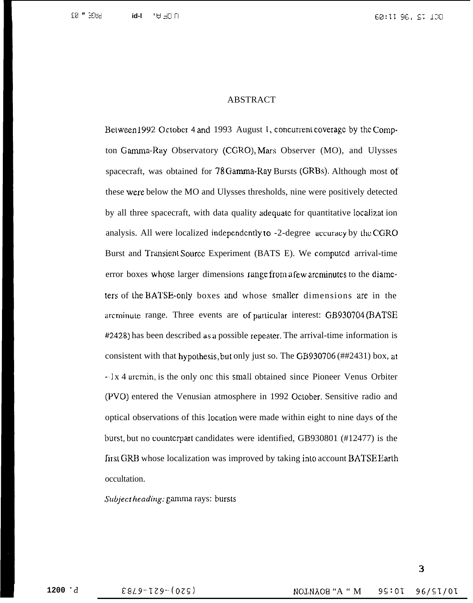# **ABSTRACT**

Between 1992 October 4 and 1993 August 1, concurrent coverage by the Compton Gamma-Ray Observatory (CGRO), Mars Observer (MO), and Ulysses spacecraft, was obtained for 78 Gamma-Ray Bursts (GRBs). Although most of these were below the MO and Ulysses thresholds, nine were positively detected by all three spacecraft, with data quality adequate for quantitative localization analysis. All were localized independently to -2-degree accuracy by the CGRO Burst and Transient Source Experiment (BATS E). We computed arrival-time error boxes whose larger dimensions range from a few arcminutes to the diameters of the BATSE-only boxes and whose smaller dimensions are in the arcminute range. Three events are of particular interest: GB930704 (BATSE) #2428) has been described as a possible repeater. The arrival-time information is consistent with that hypothesis, but only just so. The GB930706 (##2431) box, at  $\sim$  1 x 4 arcmin, is the only one this small obtained since Pioneer Venus Orbiter (PVO) entered the Venusian atmosphere in 1992 October. Sensitive radio and optical observations of this location were made within eight to nine days of the burst, but no counterpart candidates were identified, GB930801 (#12477) is the first GRB whose localization was improved by taking into account BATSE Earth occultation.

Subject heading: gamma rays: bursts

 $1200 \t d$ 

 $E8L9 - I29 - (02G)$ 

NOTNYOS "A " M 99:01 96/91/01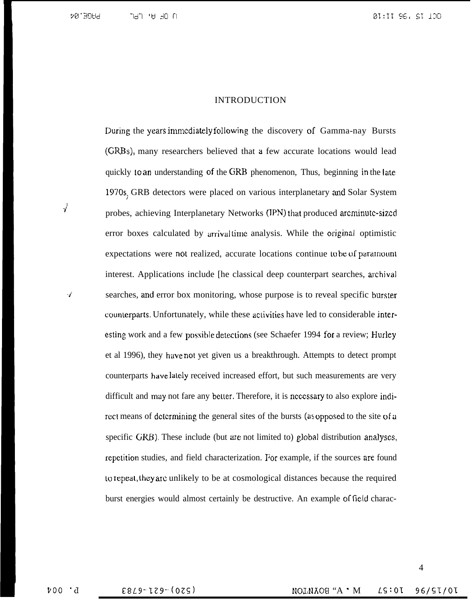#### INTRODUCTION

During the years immediately following the discovery of Gamma-nay Bursts (GRBs), many researchers believed that a few accurate locations would lead quickly to an understanding of the GRB phenomenon, Thus, beginning in the late 1970s; GRB detectors were placed on various interplanetary and Solar System probes, achieving Interplanetary Networks (IPN) that produced arcminute-sized error boxes calculated by arrival time analysis. While the original optimistic expectations were not realized, accurate locations continue to be of paramount interest. Applications include [he classical deep counterpart searches, archival  $\sqrt{ }$  searches, and error box monitoring, whose purpose is to reveal specific burster counterparts. Unfortunately, while these activities have led to considerable interesting work and a few possible deteziions (see Schaefer 1994 for a review; Hurley et al 1996), they have not yet given us a breakthrough. Attempts to detect prompt counterparts have lady received increased effort, but such measurements are very difficult and may not fare any better. Therefore, it is necessary to also explore indirect means of determining the general sites of the bursts (as opposed to the site of a specific GRB). These include (but are not limited to) global distribution analyses, mpctition studies, and field characterization. For example, if the sources are found to repeat, they arc unlikely to be at cosmological distances because the required burst energies would almost certainly be destructive. An example of field charac-

4

I *>'*

**boo** "d E8L9-TZ9-(OZS) NOLNAOfl "A ' M *LS:O'I* 96/~1/01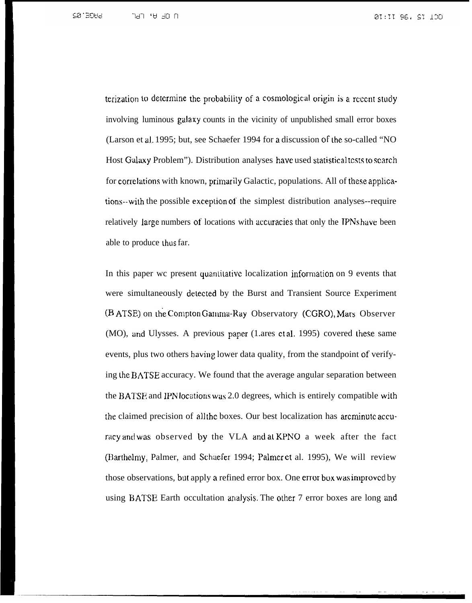terization to determine the probability of a cosmological origin is a recent study involving luminous galaxy counts in the vicinity of unpublished small error boxes (Larson et al. 1995; but, see Schaefer 1994 for a discussion of the so-called "NO Host Galaxy Problem"). Distribution analyses have used statistical tests to search for correlations with known, primarily Galactic, populations. All of these applications-with the possible exception of the simplest distribution analyses-require relatively large numbers of locations with accuracies that only the IPNs have been able to produce thus far.

In this paper we present quantitative localization information on 9 events that were simultaneously detected by the Burst and Transient Source Experiment (BATSE) on the Compton Gamma-Ray Observatory (CGRO), Mars Observer (MO), and Ulysses. A previous paper (1.ares ct al. 1995) covered these same events, plus two others having lower data quality, from the standpoint of verifying the BATSE accuracy. We found that the average angular separation between the BATSE and IPN locations was 2.0 degrees, which is entirely compatible with the claimed precision of all the boxes. Our best localization has arcminute accuracy and was observed by the VLA and at KPNO a week after the fact (Barthelmy, Palmer, and Schaefer 1994; Palmer et al. 1995), We will review those observations, but apply a refined error box. One error box was improved by using BATSE Earth occultation analysis. The other 7 error boxes are long and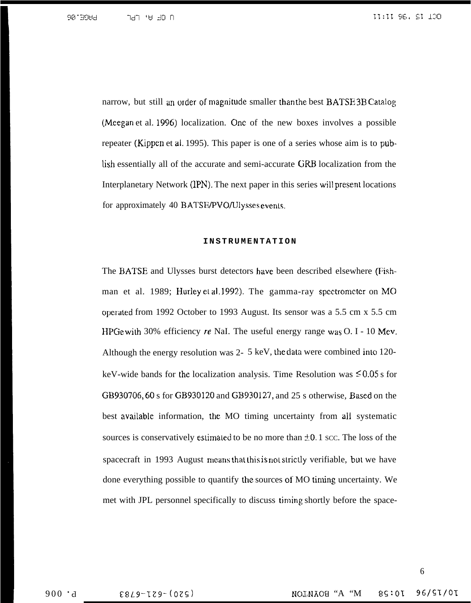narrow, but still an order of magnitude smaller than the best BATSE 3B Catalog (Meegan et al. 1996) localization. Onc of the new boxes involves a possible repeater (Kippen et al. 1995). This paper is one of a series whose aim is to publish essentially all of the accurate and semi-accurate GRB localization from the Interplanetary Network (lPN). The next paper in this series will present locations for approximately 40 BATSE/PVO/Ulysses events.

#### **INSTRUMENTATIO N**

The BATSE and Ulysses burst detectors have been described elsewhere (Fishman et al. 1989; Hurley et al. 1992). The gamma-ray spectrometer on MO operated from 1992 October to 1993 August. Its sensor was a 5.5 cm  $x$  5.5 cm HPGe with 30% efficiency re NaI. The useful energy range was O. I - 10 Mev. Although the energy resolution was 2- 5 keV, he data were combined into 120 keV-wide bands for the localization analysis. Time Resolution was  $\leq 0.05$  s for GB930706, 60 s for GB930120 and GB930127, and 25 s otherwise, Based on the best available information, the MO timing uncertainty from all systematic sources is conservatively estimated to be no more than  $\pm 0$ . 1 scc. The loss of the spacecraft in 1993 August means that this is not strictly verifiable, but we have done everything possible to quantify Ihe sources of MO timing uncertainty. We met with JPL personnel specifically to discuss timing shortly before the space-

6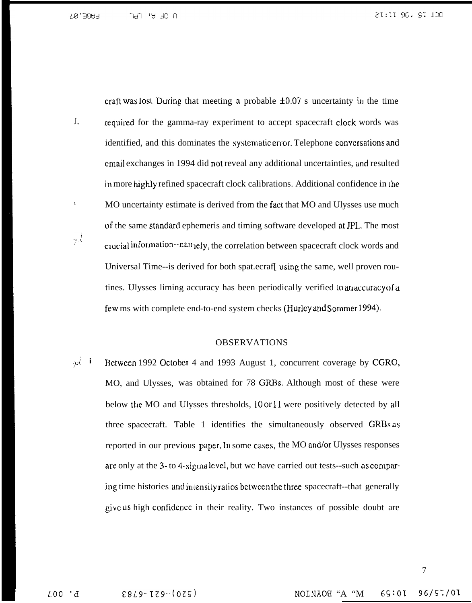TQ.30A9 ח סב שי דבר 21:11 96, 27 100

craft was lost. During that meeting a probable  $\pm 0.07$  s uncertainty in the time J.. required for the gamma-ray experiment to accept spacecraft clock words was identified, and this dominates the systematic error. Telephone conversations and cmail exchanges in 1994 did not reveal any additional uncertainties, and resulted in more highly refined spacecraft clock calibrations. Additional confidence in the  $\sim$  MO uncertainty estimate is derived from the fact that MO and Ulysses use much of the same standard ephemeris and timing software developed at JPL. The most ,(., cucial information--namely, the correlation between spacecraft clock words and Universal Time--is derived for both spat.ecraf[ using the same, well proven routines. Ulysses liming accuracy has been periodically verified to anaccuracy of a few ms with complete end-to-end system checks (Hurley and \$ommer 1994).

#### OBSERVATIONS

 $\mathcal{A}$  **i** Bctween 1992 October 4 and 1993 August 1, concurrent coverage by CGRO, MO, and Ulysses, was obtained for 78 GRBs, Although most of these were below the MO and Ulysses thresholds, 10 or 11 were positively detected by all three spacecraft. Table 1 identifies the simultaneously observed GRBs as reported in our previous puper. In some cases, the MO mdlor Ulysses responses are only at the 3- to 4-sigma level, but wc have carried out tests--such as comparing time histories and intensity ratios between the three spacecraft--that generally give us high contldence in their reality. Two instances of possible doubt are

7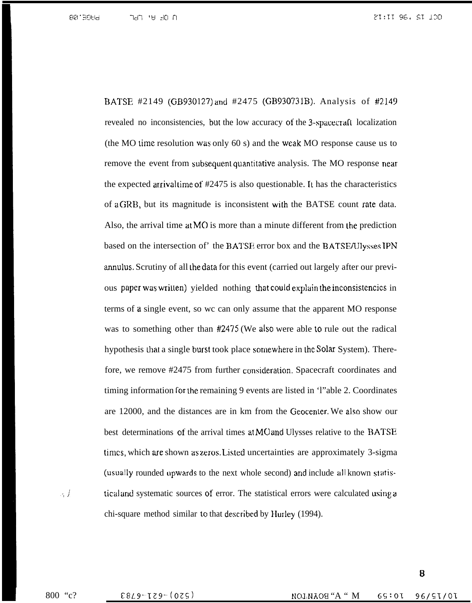21:II 96, SI 100

BATSE #2149 (GB930127) and #2475 (GB930731B). Analysis of #2149 revealed no inconsistencies, but the low accuracy of the 3-spacecraft localization (the MO time resolution was only 60 s) and the weak MO response cause us to remove the event from subsequent quantitative analysis. The MO response near the expected arrival time of  $\#2475$  is also questionable. It has the characteristics of a CiRB, but its magnitude is inconsistent with the BATSE count fate data. Also, the arrival time at MC) is more than a minute different from the prediction based on the intersection of' the BATSE error box and the BATSEAJlysses IPN annulus. Scrutiny of all the data for this event (carried out largely after our previous paper was written) yielded nothing that could explain the inconsistencies in terms of a single event, so wc can only assume that the apparent MO response was to something other than #Z475 (We also were able to rule out the radical hypothesis that a single burst took place somewhere in the Solar System). Therefore, we remove #2475 from further consideration. Spacecraft coordinates and timing information for the remaining 9 events are listed in 'l'able 2. Coordinates are 12000, and the distances are in km from the Geocenter. We also show our best determinations of the arrival times at MO and Ulysses relative to the BATSE times, which are shown as zeros. Listed uncertainties are approximately 3-sigma (usually rounded opwards to the next whole second) and include all known statisticul and systematic sources of error. The statistical errors were calculated using a chi-square method similar to that dexribcd by Hurley (1994).

 $\cdot$ ,  $\cdot$ 

800 "c? 68/9-179-(075) ROJNAOB "A " M 69:01 96/91/01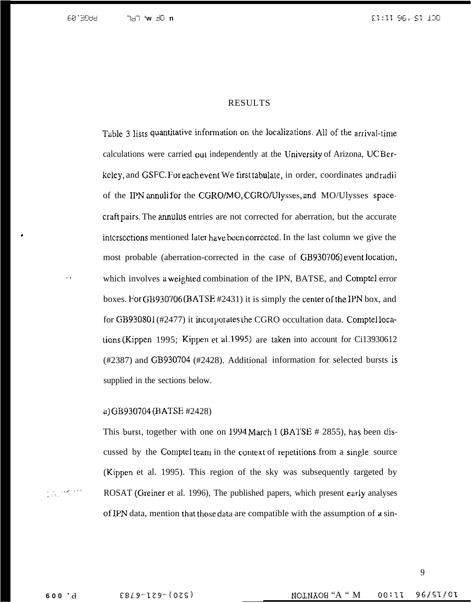b

# RESULTS

Table 3 lists quantitative information on the localizations. All of the arrival-time calculations were carried out independently at the University of Arizona, UC Berkeley, and GSFC. For each event We first tabulate, in order, coordinates and radii of the IPN annuli for the CGRO/MO, CGRO/Ulysses, and MO/Ulysses spacecraft pairs. The annulus entries are not corrected for aberration, but the accurate intersections mentioned later have been corrected. In the last column we give the most probable (aberration-corrected in the case of GB930706) event Jocalicm, which involves a weighted combination of the IPN, BATSE, and Comptel error boxes. For GB930706 (BATSE  $#2431$ ) it is simply the center of the IPN box, and for GB930801 (#2477) it incorporates the CGRO occultation data. Cornptel localions (Kippcn 1995; Kippen et ai. 1995) are taken into account for Ci13930612 (#2387) and GB930704 (#2428). Additional information for selected bursts is supplied in the sections below.

# a) GB930704 (BATSE #2428)

This burst, together with one on 1994 March 1 (BATSE  $# 2855$ ), has been discussed by the Comptel team in the context of repetitions from a single source (Kippen et al. 1995). This region of the sky was subsequently targeted by , and the ROSAT (Greiner et al. 1996), The published papers, which present early analyses of IPN data, mention that those data are compatible with the assumption of a sin-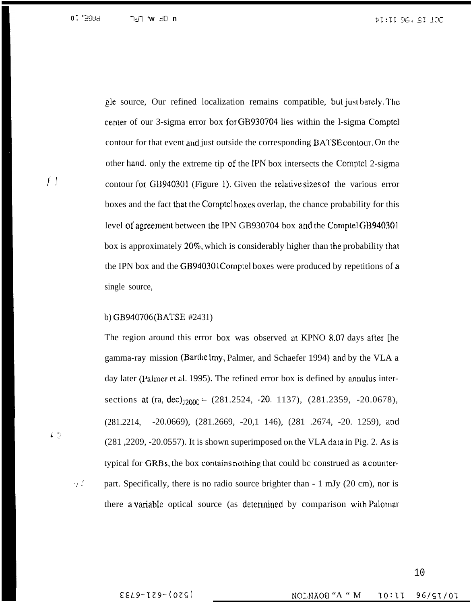gle source, Our refined localization remains compatible, but just barely. The center of our 3-sigma error box for GB930704 lies within the 1-sigma Comptel contour for that event and just outside the corresponding BATSE contour. On the other hand, only the extreme tip of the IPN box intersects the Comptel 2-sigma contour for GB940301 (Figure 1). Given the relative sizes of the various error boxes and the fact that the Comptel boxes overlap, the chance probability for this level of agreement between the IPN GB930704 box and the Comptel GB940301 box is approximately 20%, which is considerably higher than the probability that the IPN box and the GB940301Comptel boxes were produced by repetitions of a single source,

#### b) GB940706 (BATSE #2431)

The region around this error box was observed at KPNO 8.07 days after [he gamma-ray mission (Barthelmy, Palmer, and Schaefer 1994) and by the VLA a day later (Palmer et al. 1995). The refined error box is defined by annulus intersections at  $(ra, dec)_{12000} = (281.2524, -20.1137), (281.2359, -20.0678),$  $(281.2214,$  $-20.0669$ ,  $(281.2669, -20, 1146)$ ,  $(281.2674, -20.1259)$ , and (281, 2209, -20.0557). It is shown superimposed on the VLA data in Pig. 2. As is typical for GRBs, the box contains nothing that could be construed as a counterpart. Specifically, there is no radio source brighter than - 1 mJy (20 cm), nor is there a variable optical source (as determined by comparison with Palomar

 $\zeta$  .<br>  $\gtrsim$ 

 $\gamma^{\,\,j}$ 

 $f$  |

 $(0.80) - 0.51 - 0.83$ 

NOLNAOH "A " M IO:II 96/9I/0I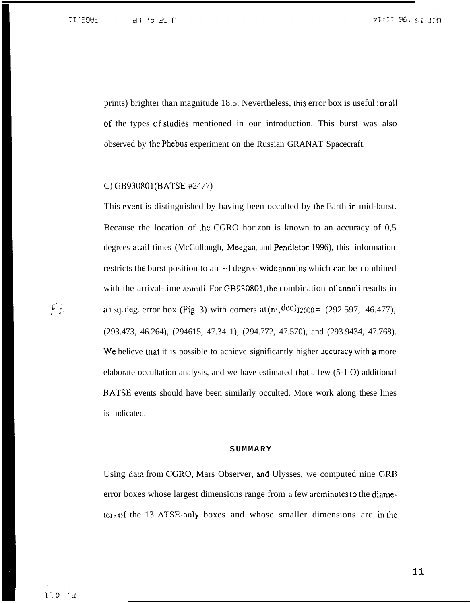prints) brighter than magnitude 18.5. Nevertheless, lhis error box is useful for all of the types of studies mentioned in our introduction. This burst was also observed by the Phebus experiment on the Russian GRANAT Spacecraft.

# C) GB930801 (BATSE #2477)

This event is distinguished by having been occulted by the Earth in mid-burst. Because the location of the CGRO horizon is known to an accuracy of 0,5 degrees at all times (McCullough, Meegan, and Pendleton 1996), this information restricts the burst position to an  $\sim$  l degree wide annulus which can be combined with the arrival-time annuli. For GB930801, the combination of annuli results in  $a_1$  sq. deg. error box (Fig. 3) with corners at  $(ra, dec)_{12000} = (292.597, 46.477)$ , (293.473, 46.264), (294615, 47.34 1), (294.772, 47.570), and (293.9434, 47.768). We believe that it is possible to achieve significantly higher accuracy with a more elaborate occultation analysis, and we have estimated that a few  $(5-1 \text{ O})$  additional BATSE events should have been similarly occulted. More work along these lines is indicated.

#### **SUMMARY**

Using data from CGRO, Mars Observer, and Ulysses, we computed nine GRB error boxes whose largest dimensions range from a few arcminutes to the diameters of the 13 ATSE-only boxes and whose smaller dimensions arc in the

;<br>[ ]  $\frac{1}{2}$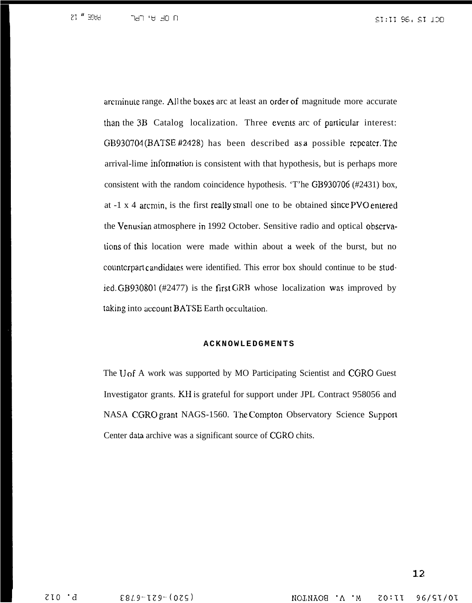arcminulc range. AJ1 the boxes arc at least an order of magnitude more accurate than the 3B Catalog localization. Three events arc of particular interest: GB930704 (BATSE #2428) has been described as a possible repeater. The arrival-lime information is consistent with that hypothesis, but is perhaps more consistent with the random coincidence hypothesis. 'T'he GB930706 (#2431) box, at  $-1 \times 4$  arcmin, is the first really small one to be obtained since PVO entered the Venusian atmosphere in 1992 October. Sensitive radio and optical obscrvations of this location were made within about a week of the burst, but no countcrpart candidates were identified. This error box should continue to be studied. GB930801 (#2477) is the first GRB whose localization was improved by taking into account BATSE Earth occultation.

#### **ACKNOWLEDGMENTS**

The IJ of A work was supported by MO Participating Scientist and CGRO Guest Investigator grants. KH is grateful for support under JPL Contract 958056 and NASA CGRO grant NAGS-1560. The Compton Observatory Science Support Center data archive was a significant source of CGRO chits.

96/ST/0T **BOXMION**  $\cdot_{\Lambda}$ ۰M 71:0S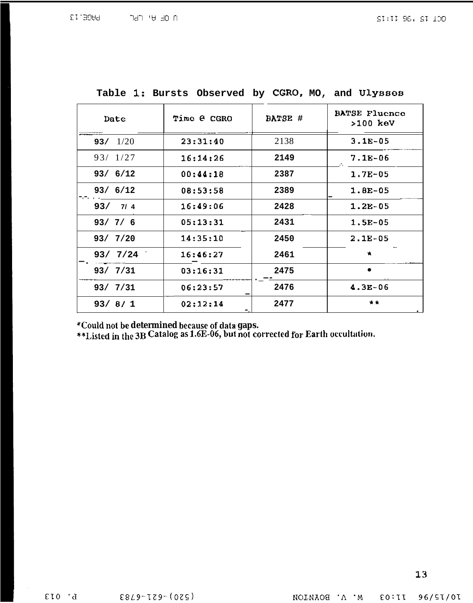| Date       | Time e CGRO | BATSE # | <b>BATSE Fluence</b><br>$>100$ keV |  |  |
|------------|-------------|---------|------------------------------------|--|--|
| 93/ $1/20$ | 23:31:40    | 2138    | $3.1E-05$                          |  |  |
| 93/ 1/27   | 16:14:26    | 2149    | $7.1E-06$                          |  |  |
| 93/ 6/12   | 00:44:18    | 2387    | $1.7E-05$                          |  |  |
| 93/ 6/12   | 08:53:58    | 2389    | $1.8E-05$                          |  |  |
| 93/714     | 16:49:06    | 2428    | $1.2E-05$                          |  |  |
| 93/7/6     | 05:13:31    | 2431    | $1.5E-05$                          |  |  |
| 93/7/20    | 14:35:10    | 2450    | $2.1E-05$                          |  |  |
| 93/ 7/24   | 16:46:27    | 2461    |                                    |  |  |
| 93/ 7/31   | 03:16:31    | 2475    | $\bullet$                          |  |  |
| 93/ 7/31   | 06:23:57    | 2476    | $4.3E - 06$                        |  |  |
| 93/8/1     | 02:12:14    | 2477    | **                                 |  |  |

|  |  |  | Table 1: Bursts Observed by CGRO, MO, and Ulysses |  |  |  |  |  |
|--|--|--|---------------------------------------------------|--|--|--|--|--|
|--|--|--|---------------------------------------------------|--|--|--|--|--|

**\*Couldnotbe determined becauseofdata gaps.**

**\*\*Ljstedint]lc 3B Cata]ogas lo(&()\$but notcorrec[ed for Eart}loCCU]blt;Un.**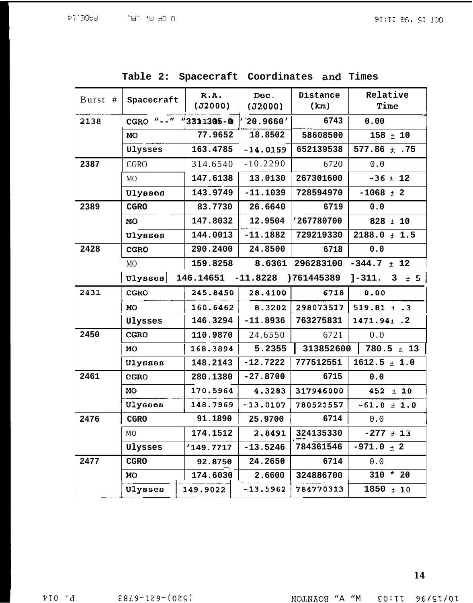| Burst # | Spacecraft      | R.A.<br>(J2000)    | Dec.<br>(J2000)     | Distance<br>(km) | Relative<br>Time    |
|---------|-----------------|--------------------|---------------------|------------------|---------------------|
| 2138    | $CGRO$ $N=-M$   | <b>V3331305-0</b>  | $\frac{1}{20.9660}$ | 6743             | 0.00                |
|         | <b>MO</b>       | 77.9652            | 18.8502             | 58608500         | $158 \pm 10$        |
|         | Ulysses         | 163.4785           | $-14.0159$          | 652139538        | 577.86 $\pm$ .75    |
| 2387    | <b>CGRO</b>     | 314.6540           | $-10.2290$          | 6720             | 0.0                 |
|         | M <sub>O</sub>  | 147.6138           | 13.0130             | 267301600        | $-36 \pm 12$        |
|         | Ulysses         | 143.9749           | $-11.1039$          | 728594970        | $-1068 \pm 2$       |
| 2389    | <b>CGRO</b>     | 83.7730            | 26.6640             | 6719             | 0.0                 |
|         | <b>NO</b>       | 147.8032           | 12.9504             | '267780700       | $828 \pm 10$        |
|         | Ulysses         | 144.0013           | $-11.1882$          | 729219330        | $2188.0 \pm 1.5$    |
| 2428    | <b>CGRO</b>     | 290.2400           | 24.8500             | 6718             | 0.0                 |
|         | MO              | 159.8258           |                     | 8.6361 296283100 | $-344.7 \pm 12$     |
|         | Ulysses         | 146.14651 -11.8228 |                     | )761445389       | $3 - 311.$ 3<br>± 5 |
| 2431    | <b>CGRO</b>     | 245.8450           | 28.4100             | 6718             | 0.00                |
|         | MO              | 160.6462           | 8.3202              | 298073517        | $519.81 \pm .3$     |
|         | Ulysses         | 146.3294           | $-11.8936$          | 763275831        | $1471.94 \pm .2$    |
| 2450    | <b>CGRO</b>     | 110.9870           | 24.6550             | 6721             | 0.0                 |
|         | <b>MO</b>       | 168.3894           | 5.2355              | 313852600        | $780.5 \pm 13$      |
|         | Ulysses         | 148.2143           | $-12.7222$          | 777512551        | $1612.5 \pm 1.0$    |
| 2461    | <b>CGRO</b>     | 280.1380           | $-27.8700$          | 6715             | 0.0                 |
|         | MO <sub>1</sub> | 170.5964           | 4.3283              | 317946000        | $452 \pm 10$        |
|         | Ulysses         | 148.7969           | $-13.0107$          | 780521557        | $-61.0 \pm 1.0$     |
| 2476    | <b>CGRO</b>     | 91.1890            | 25.9700             | 6714             | $0.0$               |
|         | MO              | 174.1512           | 2.8491              | 324135330        | $-277 \pm 13$       |
|         | Ulysses         | 149.7717           | $-13.5246$          | 784361546        | $-971.0 + 2$        |
| 2477    | <b>CGRO</b>     | 92.8750            | 24.2650             | 6714             | $0.0$               |
|         | MO.             | 174.6030           | 2.6600              | 324886700        | $310 * 20$          |
|         | Ulysses         | 149.9022           | $-13.5962$          | 784770313        | $1850 \pm 10$       |

Table 2: Spacecraft Coordinates and Times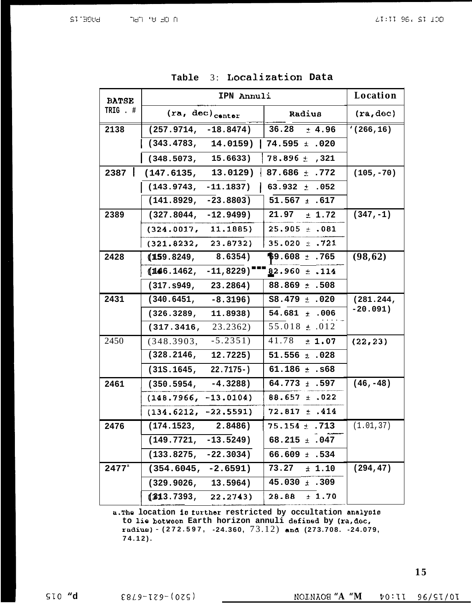| <b>BATSE</b>        |                        | Location                               |                   |              |
|---------------------|------------------------|----------------------------------------|-------------------|--------------|
| TRIG . #            |                        | (ra, dec) center                       | Radius            | (ra, doc)    |
| 2138                | (257.9714,             | $-18.8474)$                            | 36.28<br>± 4.96   | (266, 16)    |
|                     | (343.4783, 14.0159)    |                                        | $74.595 \pm .020$ |              |
|                     | (348.5073, 15.6633)    |                                        | $78.896 \pm .321$ |              |
| 2387                | (147.6135,             | 13.0129)                               | $87.686 \pm .772$ | $(105, -70)$ |
|                     | (143.9743,             | $-11.1837)$                            | $63.932 \pm .052$ |              |
|                     | $(141.8929, -23.8803)$ |                                        | $51.567 \pm .617$ |              |
| 2389                | $(327.8044, -12.9499)$ |                                        | $21.97 \pm 1.72$  | $(347,-1)$   |
|                     | (324.0017, 11.1885)    |                                        | $25.905 \pm .081$ |              |
|                     | (321.8232, 23.8732)    |                                        | $35.020 \pm .721$ |              |
| 2428                | (159.8249, 8.6354)     |                                        | 459.608 ± .765    | (98, 62)     |
|                     |                        | $(146.1462, -11, 8229)$ <sup>---</sup> | $82.960 \pm .114$ |              |
|                     | (317. s949, 23.2864)   |                                        | $88.869 \pm .508$ |              |
| 2431                | $(340.6451, -8.3196)$  |                                        | $S8.479 \pm .020$ | (281.244,    |
|                     | (326.3289, 11.8938)    |                                        | $54.681 \pm .006$ | $-20.091)$   |
|                     | (317.3416, 23.2362)    |                                        | $55.018 \pm .012$ |              |
| 2450                | $(348.3903, -5.2351)$  |                                        | $41.78 \pm 1.07$  | (22, 23)     |
|                     | (328.2146, 12.7225)    |                                        | $51.556 \pm .028$ |              |
|                     | $(31S.1645, 22.7175-)$ |                                        | $61.186 \pm .568$ |              |
| 2461                | $(350.5954, -4.3288)$  |                                        | $64.773 \pm .597$ | $(46, -48)$  |
|                     | (148.7966,             | $-13.0104)$                            | $88.657 \pm .022$ |              |
|                     | $(134.6212, -22.5591)$ |                                        | $72.817 \pm .414$ |              |
| 2476                | (174.1523, 2.8486)     |                                        | $75.154 \pm .713$ | (1.01, 37)   |
|                     | (149.7721,             | $-13.5249)$                            | $68.215 \pm .047$ |              |
|                     | (133.8275,             | $-22.3034)$                            | $66.609 \pm .534$ |              |
| $2477$ <sup>a</sup> | (354.6045,             | $-2.6591)$                             | 73.27<br>± 1.10   | (294, 47)    |
|                     | (329.9026,             | 13.5964)                               | $45.030 \pm .309$ |              |
|                     | (313.7393)             | 22.2743)                               | ± 1.70<br>28.88   |              |

|  | Table 3: Localization Data |  |
|--|----------------------------|--|
|  |                            |  |

a. The location is further restricted by occultation analysis to lie between Earth horizon annuli defined by (ra, dec,  $radian(272.597, -24.360, 73.12)$  and  $(273.708. -24.079,$  $74.12$ ).

15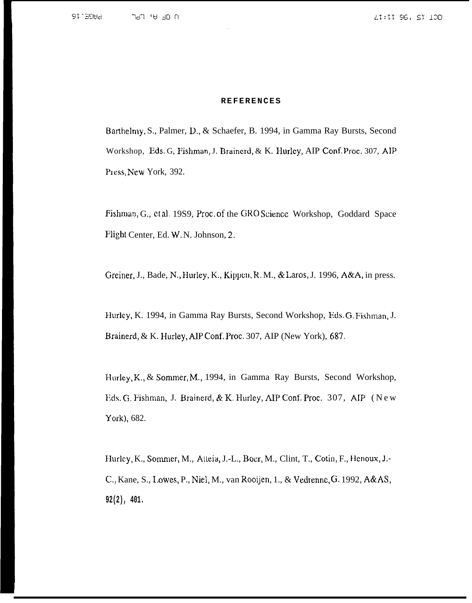#### **REFERENCES**

Barthelmy, S., Palmer, D., & Schaefer, B. 1994, in Gamma Ray Bursts, Second Workshop, Eds. G, Fishman, J. Brainerd, & K. Hurlcy, AIP Conf. Proc. 307, AIP Press, New York, 392.

Fishman, G., et al. 19S9, Proc. of the GRO Science Workshop, Goddard Space Flight Center, Ed. W, N. Johnson, **2,**

Greiner, J., Bade, N., Hurley, K., Kippen, R. M., & Laros, J. 1996, A&A, in press.

Hurley, K. 1994, in Gamma Ray Bursts, Second Workshop, Eds. G. Fishman, J. Brainerd, & K. Hurley, AIP Conf. Proc, 307, AIP (New York), 687,

Hurley, K., & Sommer, M., 1994, in Gamma Ray Bursts, Second Workshop, Fds. G. Fishman, J. Brainerd, & K. Hurley, AIP Cont. Proc. 307, AIP (New York), 682.

Hurley, K., Sommer, M., Atteia, J.-L., Boer, M., Clint, T., Cotin, F., Henoux, J.-C., Kane, S., Lowes, P., Niel, M., van Rooijen, 1., & Vedrenne, G. 1992, A&AS, **92(2), 401.**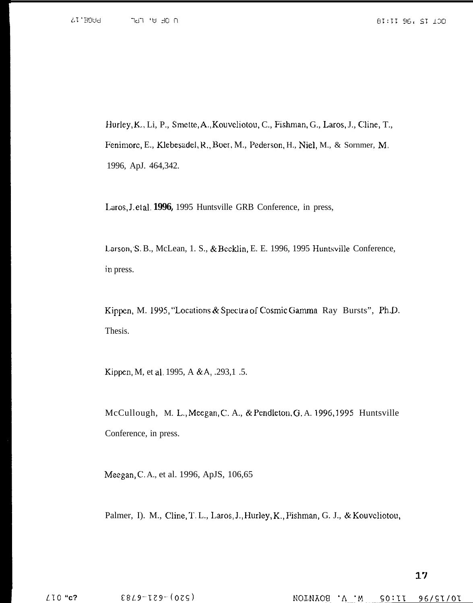Hurley, K., Li, P., Smette, A., Kouvcliotou, C., Fishman, G., Laros, J., Cline, T., Fenimorc, E., Klebesadel, R., Boer, M., Pederson, H., Niel, M., & Sornmer, M. 1996, ApJ. 464,342.

Laros, J et al. 1996, 1995 Huntsville GRB Conference, in press,

Larson, S. B., McLean, 1. S., & Becklin, E. E. 1996, 1995 Huntsville Conference, in press.

Kippen, M. 1995, "Locations & Spectra of Cosmic Gamma Ray Bursts", Ph.D. Thesis.

Kippen, M, et al. 1995, A & A, .293,1 .5.

McCullough, M. L., Meegan, C. A., & Pendleton, G. A. 1996, 1995 Huntsville Conference, in press.

Meegan, C.A., et al. 1996, ApJS, 106,65

Palmer, I). M., Cline, T. L., Laros, J., Hurley, K., Pishman, G. J., & Kouveliotou,

# $17$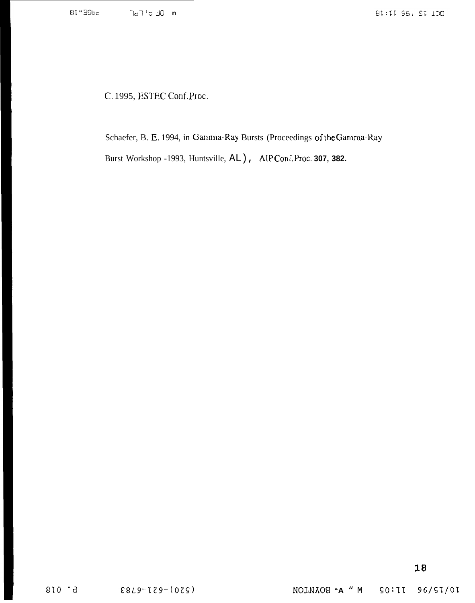C. 1995, ESTEC Conf. Proc.

Schaefer, B. E. 1994, in Gamma-Ray Bursts (Proceedings of the Gamma-Ray Burst Workshop -1993, Huntsville, AL), AlPConf. Proc. 307, 382.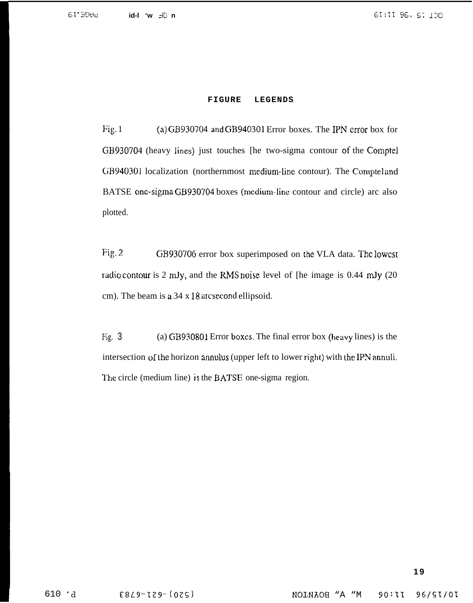#### **FIGURE LEGENDS**

 $Fig. 1$ (a) GB930704 and GB940301 Error boxes. The IPN crror box for GB930704 (heavy lines) just touches [he two-sigma contour of the Comptel GB940301 localization (northernmost medium-line contour). The Comptel and BATSE onc-sigma GB930704 boxes (medium-line contour and circle) arc also plotted.

Fig.  $2$ GB930706 error box superimposed on the VLA data. The lowest radio contour is 2 mJy, and the RMS noise level of [he image is 0.44 mJy (20) cm). The beam is a 34 x 18 arcsecond ellipsoid.

Fig. 3 (a) GB930801 Error boxes. The final error box (heavy lines) is the intersection of the horizon annulus (upper left to lower right) with the IPN annuli. The circle (medium line) is the BATSE one-sigma region.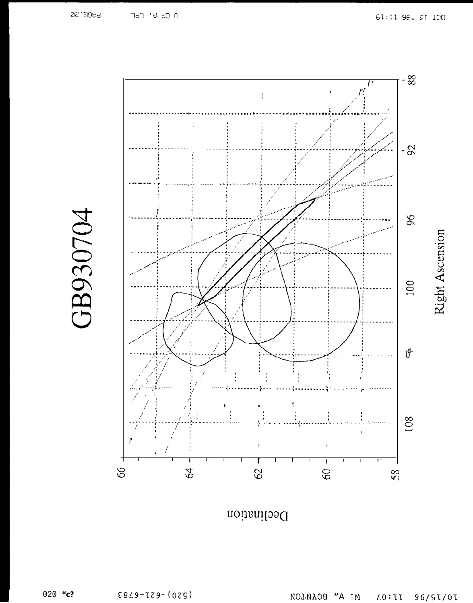

Declination

M. V. BOYNTON  $LO:TI$ 96/SI/0I

GB930704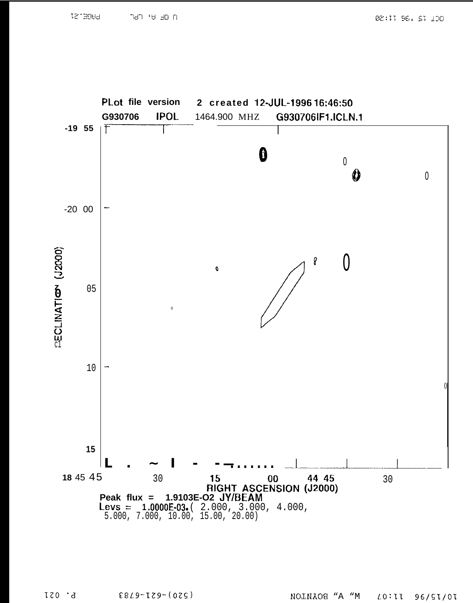